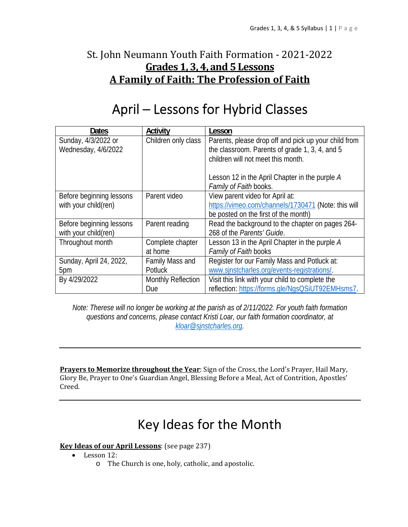# St. John Neumann Youth Faith Formation - 2021-2022 **Grades 1, 3, 4, and 5 Lessons A Family of Faith: The Profession of Faith**

# April – Lessons for Hybrid Classes

| Dates                    | Activity                  | Lesson                                               |
|--------------------------|---------------------------|------------------------------------------------------|
| Sunday, 4/3/2022 or      | Children only class       | Parents, please drop off and pick up your child from |
| Wednesday, 4/6/2022      |                           | the classroom. Parents of grade 1, 3, 4, and 5       |
|                          |                           | children will not meet this month.                   |
|                          |                           |                                                      |
|                          |                           | Lesson 12 in the April Chapter in the purple A       |
|                          |                           | Family of Faith books.                               |
| Before beginning lessons | Parent video              | View parent video for April at:                      |
| with your child(ren)     |                           | https://vimeo.com/channels/1730471 (Note: this will  |
|                          |                           | be posted on the first of the month)                 |
| Before beginning lessons | Parent reading            | Read the background to the chapter on pages 264-     |
| with your child(ren)     |                           | 268 of the Parents' Guide.                           |
| Throughout month         | Complete chapter          | Lesson 13 in the April Chapter in the purple A       |
|                          | at home                   | Family of Faith books                                |
| Sunday, April 24, 2022,  | Family Mass and           | Register for our Family Mass and Potluck at:         |
| 5pm                      | Potluck                   | www.sinstcharles.org/events-registrations/.          |
| By 4/29/2022             | <b>Monthly Reflection</b> | Visit this link with your child to complete the      |
|                          | Due                       | reflection: https://forms.gle/NgsQSiUT92EMHsms7.     |

*Note: Therese will no longer be working at the parish as of 2/11/2022. For youth faith formation questions and concerns, please contact Kristi Loar, our faith formation coordinator, at kloar@sjnstcharles.org.* 

**Prayers to Memorize throughout the Year**: Sign of the Cross, the Lord's Prayer, Hail Mary, Glory Be, Prayer to One's Guardian Angel, Blessing Before a Meal, Act of Contrition, Apostles' Creed.

# Key Ideas for the Month

### **Key Ideas of our April Lessons**: (see page 237)

- $\bullet$  Lesson 12:
	- o The Church is one, holy, catholic, and apostolic.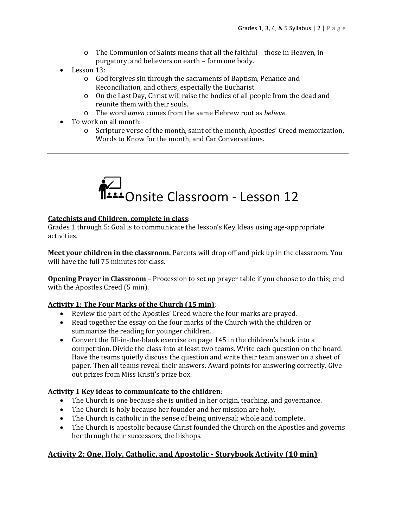- o The Communion of Saints means that all the faithful those in Heaven, in purgatory, and believers on earth – form one body.
- Lesson 13:
	- o God forgives sin through the sacraments of Baptism, Penance and Reconciliation, and others, especially the Eucharist.
	- o On the Last Day, Christ will raise the bodies of all people from the dead and reunite them with their souls.
	- o The word *amen* comes from the same Hebrew root as *believe*.
- To work on all month:
	- o Scripture verse of the month, saint of the month, Apostles' Creed memorization, Words to Know for the month, and Car Conversations.



#### **Catechists and Children, complete in class**:

Grades 1 through 5: Goal is to communicate the lesson's Key Ideas using age-appropriate activities.

**Meet your children in the classroom.** Parents will drop off and pick up in the classroom. You will have the full 75 minutes for class.

**Opening Prayer in Classroom** – Procession to set up prayer table if you choose to do this; end with the Apostles Creed (5 min).

### **Activity 1: The Four Marks of the Church (15 min)**:

- Review the part of the Apostles' Creed where the four marks are prayed.
- Read together the essay on the four marks of the Church with the children or summarize the reading for younger children.
- Convert the fill-in-the-blank exercise on page 145 in the children's book into a competition. Divide the class into at least two teams. Write each question on the board. Have the teams quietly discuss the question and write their team answer on a sheet of paper. Then all teams reveal their answers. Award points for answering correctly. Give out prizes from Miss Kristi's prize box.

### **Activity 1 Key ideas to communicate to the children**:

- The Church is one because she is unified in her origin, teaching, and governance.
- The Church is holy because her founder and her mission are holy.
- The Church is catholic in the sense of being universal: whole and complete.
- The Church is apostolic because Christ founded the Church on the Apostles and governs her through their successors, the bishops.

### **Activity 2: One, Holy, Catholic, and Apostolic ‐ Storybook Activity (10 min)**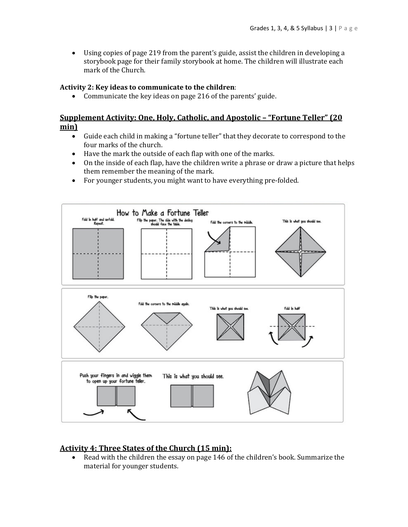Using copies of page 219 from the parent's guide, assist the children in developing a storybook page for their family storybook at home. The children will illustrate each mark of the Church.

#### **Activity 2: Key ideas to communicate to the children**:

Communicate the key ideas on page 216 of the parents' guide.

### **Supplement Activity: One, Holy, Catholic, and Apostolic – "Fortune Teller" (20 min)**

- Guide each child in making a "fortune teller" that they decorate to correspond to the four marks of the church.
- Have the mark the outside of each flap with one of the marks.
- On the inside of each flap, have the children write a phrase or draw a picture that helps them remember the meaning of the mark.
- For younger students, you might want to have everything pre-folded.



### **Activity 4: Three States of the Church (15 min):**

 Read with the children the essay on page 146 of the children's book. Summarize the material for younger students.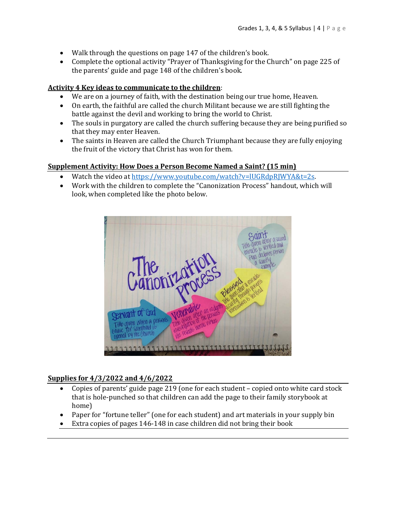- Walk through the questions on page 147 of the children's book.
- Complete the optional activity "Prayer of Thanksgiving for the Church" on page 225 of the parents' guide and page 148 of the children's book.

### **Activity 4 Key ideas to communicate to the children**:

- We are on a journey of faith, with the destination being our true home, Heaven.
- On earth, the faithful are called the church Militant because we are still fighting the battle against the devil and working to bring the world to Christ.
- The souls in purgatory are called the church suffering because they are being purified so that they may enter Heaven.
- The saints in Heaven are called the Church Triumphant because they are fully enjoying the fruit of the victory that Christ has won for them.

### **Supplement Activity: How Does a Person Become Named a Saint? (15 min)**

- Watch the video at https://www.youtube.com/watch?v=lUGRdpRJWYA&t=2s.
- Work with the children to complete the "Canonization Process" handout, which will look, when completed like the photo below.



### **Supplies for 4/3/2022 and 4/6/2022**

- Copies of parents' guide page 219 (one for each student copied onto white card stock that is hole-punched so that children can add the page to their family storybook at home)
- Paper for "fortune teller" (one for each student) and art materials in your supply bin
- Extra copies of pages 146-148 in case children did not bring their book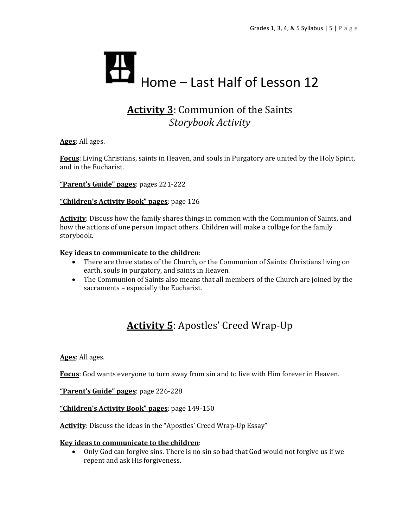

# **Activity 3**: Communion of the Saints *Storybook Activity*

**Ages**: All ages.

**Focus**: Living Christians, saints in Heaven, and souls in Purgatory are united by the Holy Spirit, and in the Eucharist.

**"Parent's Guide" pages**: pages 221-222

**"Children's Activity Book" pages**: page 126

**Activity**: Discuss how the family shares things in common with the Communion of Saints, and how the actions of one person impact others. Children will make a collage for the family storybook.

#### **Key ideas to communicate to the children**:

- There are three states of the Church, or the Communion of Saints: Christians living on earth, souls in purgatory, and saints in Heaven.
- The Communion of Saints also means that all members of the Church are joined by the sacraments – especially the Eucharist.

# **Activity 5**: Apostles' Creed Wrap-Up

**Ages**: All ages.

**Focus**: God wants everyone to turn away from sin and to live with Him forever in Heaven.

**"Parent's Guide" pages**: page 226-228

**"Children's Activity Book" pages**: page 149-150

**Activity**: Discuss the ideas in the "Apostles' Creed Wrap-Up Essay"

#### **Key ideas to communicate to the children**:

 Only God can forgive sins. There is no sin so bad that God would not forgive us if we repent and ask His forgiveness.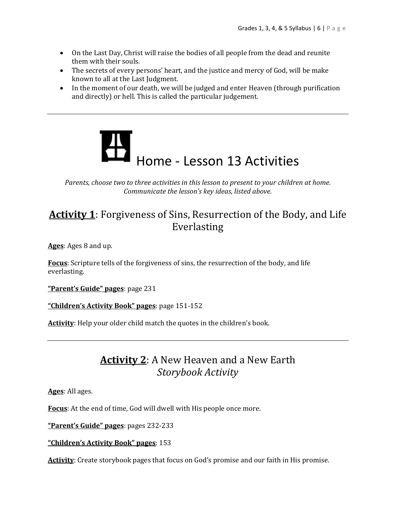- On the Last Day, Christ will raise the bodies of all people from the dead and reunite them with their souls.
- The secrets of every persons' heart, and the justice and mercy of God, will be make known to all at the Last Judgment.
- In the moment of our death, we will be judged and enter Heaven (through purification and directly) or hell. This is called the particular judgement.



*Parents, choose two to three activities in this lesson to present to your children at home. Communicate the lesson's key ideas, listed above.*

## **Activity 1**: Forgiveness of Sins, Resurrection of the Body, and Life Everlasting

**Ages**: Ages 8 and up.

**Focus**: Scripture tells of the forgiveness of sins, the resurrection of the body, and life everlasting.

**"Parent's Guide" pages**: page 231

**"Children's Activity Book" pages**: page 151-152

**Activity**: Help your older child match the quotes in the children's book.

## **Activity 2**: A New Heaven and a New Earth *Storybook Activity*

**Ages**: All ages.

**Focus**: At the end of time, God will dwell with His people once more.

**"Parent's Guide" pages**: pages 232-233

**"Children's Activity Book" pages**: 153

Activity: Create storybook pages that focus on God's promise and our faith in His promise.